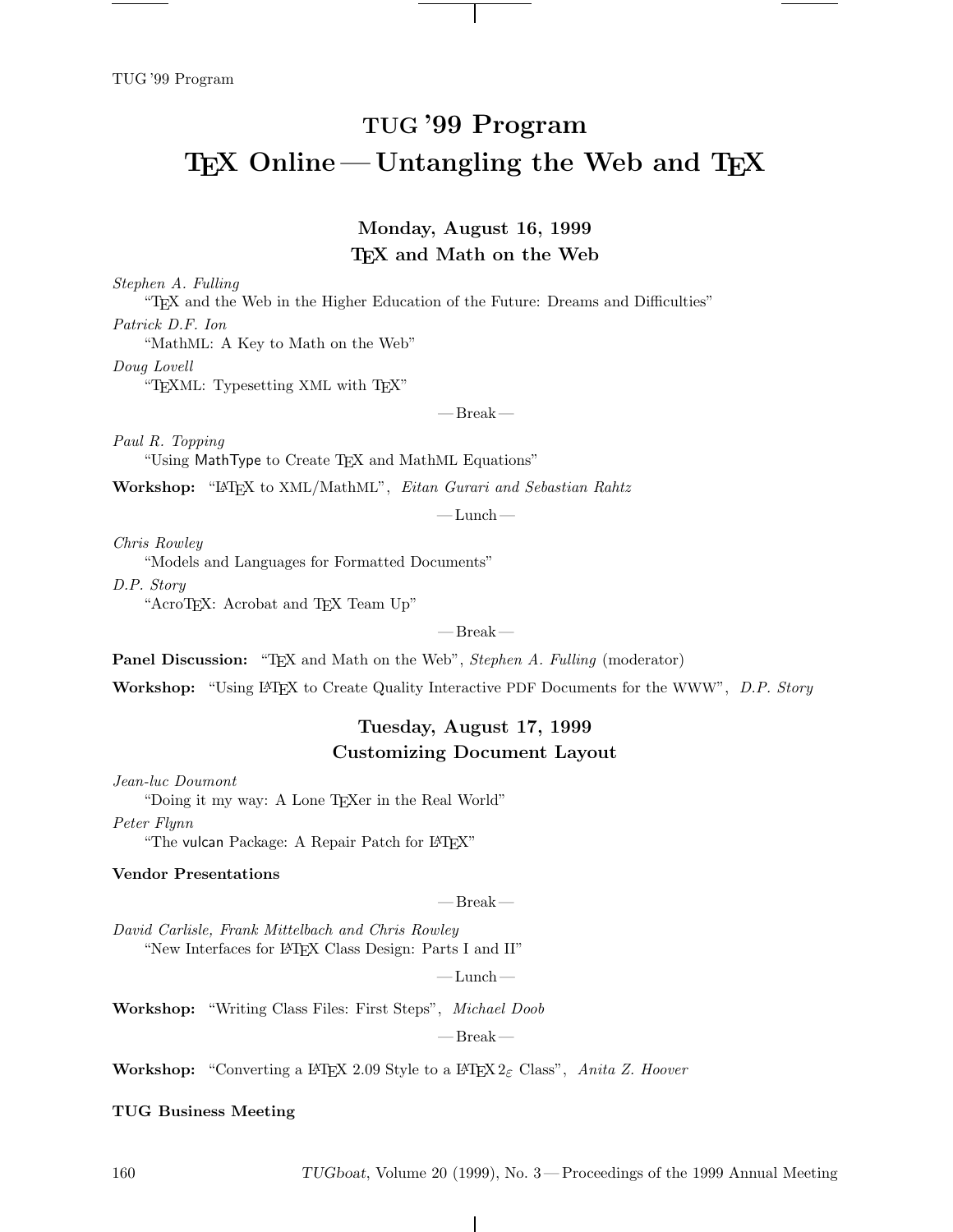# **TUG '99 Program TEX** Online — Untangling the Web and TEX

## **Monday, August 16, 1999 TEX and Math on the Web**

*Stephen A. Fulling*

"TEX and the Web in the Higher Education of the Future: Dreams and Difficulties" *Patrick D.F. Ion*

"MathML: A Key to Math on the Web"

*Doug Lovell*

"TEXML: Typesetting XML with TEX"

 $-$  Break $-$ 

*Paul R. Topping*

"Using MathType to Create TEX and MathML Equations"

**Workshop:** "LATEX to XML/MathML", *Eitan Gurari and Sebastian Rahtz*

 $-\text{Lunch}$  —

*Chris Rowley*

"Models and Languages for Formatted Documents"

*D.P. Story*

"AcroTEX: Acrobat and TEX Team Up"

— Break—

**Panel Discussion:** "TEX and Math on the Web", *Stephen A. Fulling* (moderator)

**Workshop:** "Using LATEX to Create Quality Interactive PDF Documents for the WWW", *D.P. Story*

## **Tuesday, August 17, 1999 Customizing Document Layout**

*Jean-luc Doumont*

"Doing it my way: A Lone T<sub>E</sub>Xer in the Real World"

*Peter Flynn*

"The vulcan Package: A Repair Patch for LATFX"

#### **Vendor Presentations**

— Break—

*David Carlisle, Frank Mittelbach and Chris Rowley* "New Interfaces for LATEX Class Design: Parts I and II"

 $-\text{Lunch}$  —

**Workshop:** "Writing Class Files: First Steps", *Michael Doob*

 $-$  Break  $-$ 

 $\mathbf{I}$ 

**Workshop:** "Converting a LATEX 2.09 Style to a LATEX 2ε Class", *Anita Z. Hoover*

#### **TUG Business Meeting**